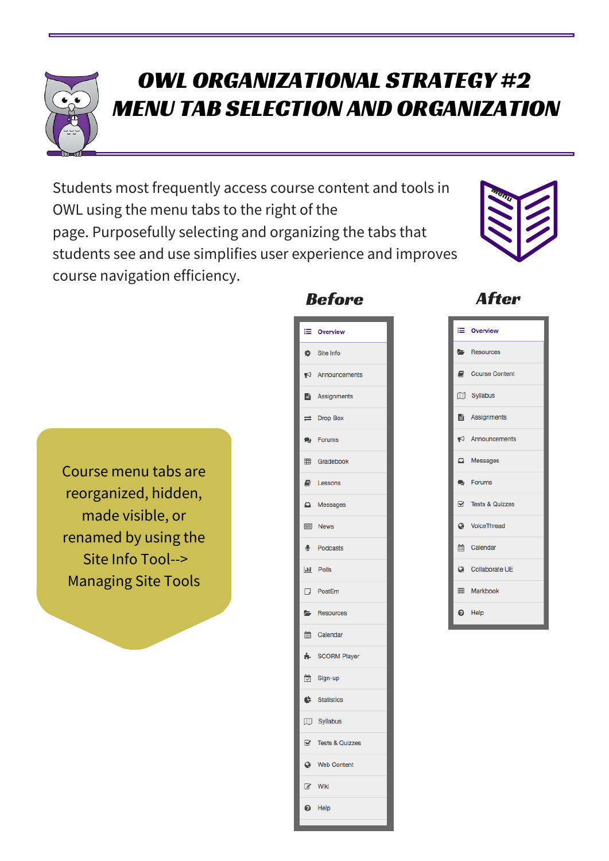

## OWL ORGANIZATIONAL STRATEGY #2 MENU TAB SELECTION AND ORGANIZATION

Students most frequently access course content and tools in OWL using the menu tabs to the right of the page. Purposefully selecting and organizing the tabs that students see and use simplifies user experience and improves course navigation efficiency.





Course menu tabs are reorganized, hidden, made visible, or renamed by using the Site Info Tool--> Managing Site Tools